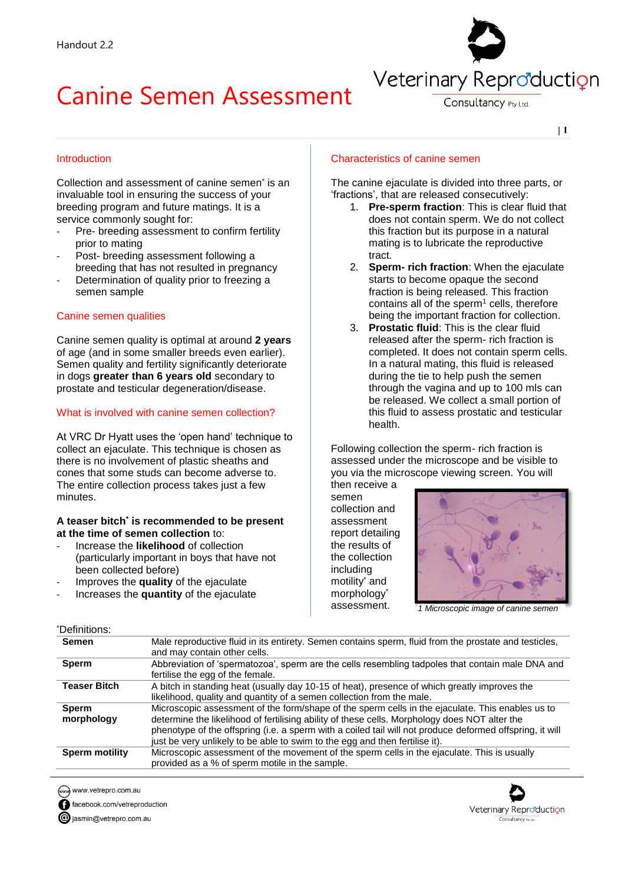# Canine Semen Assessment



Consultancy Pty Ltd

| **1**

#### Introduction

Collection and assessment of canine semen<sup>\*</sup> is an invaluable tool in ensuring the success of your breeding program and future matings. It is a service commonly sought for:

- Pre- breeding assessment to confirm fertility prior to mating
- Post- breeding assessment following a breeding that has not resulted in pregnancy
- Determination of quality prior to freezing a semen sample

### Canine semen qualities

Canine semen quality is optimal at around **2 years** of age (and in some smaller breeds even earlier). Semen quality and fertility significantly deteriorate in dogs **greater than 6 years old** secondary to prostate and testicular degeneration/disease.

#### What is involved with canine semen collection?

At VRC Dr Hyatt uses the 'open hand' technique to collect an ejaculate. This technique is chosen as there is no involvement of plastic sheaths and cones that some studs can become adverse to. The entire collection process takes just a few minutes.

#### **A teaser bitch\* is recommended to be present at the time of semen collection** to:

- Increase the **likelihood** of collection (particularly important in boys that have not been collected before)
- Improves the **quality** of the ejaculate
- Increases the **quantity** of the ejaculate

#### Characteristics of canine semen

The canine ejaculate is divided into three parts, or 'fractions', that are released consecutively:

- 1. **Pre-sperm fraction**: This is clear fluid that does not contain sperm. We do not collect this fraction but its purpose in a natural mating is to lubricate the reproductive tract.
- 2. **Sperm- rich fraction**: When the ejaculate starts to become opaque the second fraction is being released. This fraction contains all of the sperm $<sup>1</sup>$  cells, therefore</sup> being the important fraction for collection.
- 3. **Prostatic fluid**: This is the clear fluid released after the sperm- rich fraction is completed. It does not contain sperm cells. In a natural mating, this fluid is released during the tie to help push the semen through the vagina and up to 100 mls can be released. We collect a small portion of this fluid to assess prostatic and testicular health.

Following collection the sperm- rich fraction is assessed under the microscope and be visible to you via the microscope viewing screen. You will

then receive a semen collection and assessment report detailing the results of the collection including motility\* and morphology\* assessment.



*1 Microscopic image of canine semen*

| *Definitions:         |                                                                                                          |
|-----------------------|----------------------------------------------------------------------------------------------------------|
| <b>Semen</b>          | Male reproductive fluid in its entirety. Semen contains sperm, fluid from the prostate and testicles,    |
|                       | and may contain other cells.                                                                             |
| <b>Sperm</b>          | Abbreviation of 'spermatozoa', sperm are the cells resembling tadpoles that contain male DNA and         |
|                       | fertilise the egg of the female.                                                                         |
| <b>Teaser Bitch</b>   | A bitch in standing heat (usually day 10-15 of heat), presence of which greatly improves the             |
|                       | likelihood, quality and quantity of a semen collection from the male.                                    |
| <b>Sperm</b>          | Microscopic assessment of the form/shape of the sperm cells in the ejaculate. This enables us to         |
| morphology            | determine the likelihood of fertilising ability of these cells. Morphology does NOT alter the            |
|                       | phenotype of the offspring (i.e. a sperm with a coiled tail will not produce deformed offspring, it will |
|                       | just be very unlikely to be able to swim to the egg and then fertilise it).                              |
| <b>Sperm motility</b> | Microscopic assessment of the movement of the sperm cells in the ejaculate. This is usually              |
|                       | provided as a % of sperm motile in the sample.                                                           |

www.vetrepro.com.au

facebook.com/vetreproduction

giasmin@vetrepro.com.au

## Veterinary Reproduction Consultancy Pty Ltd